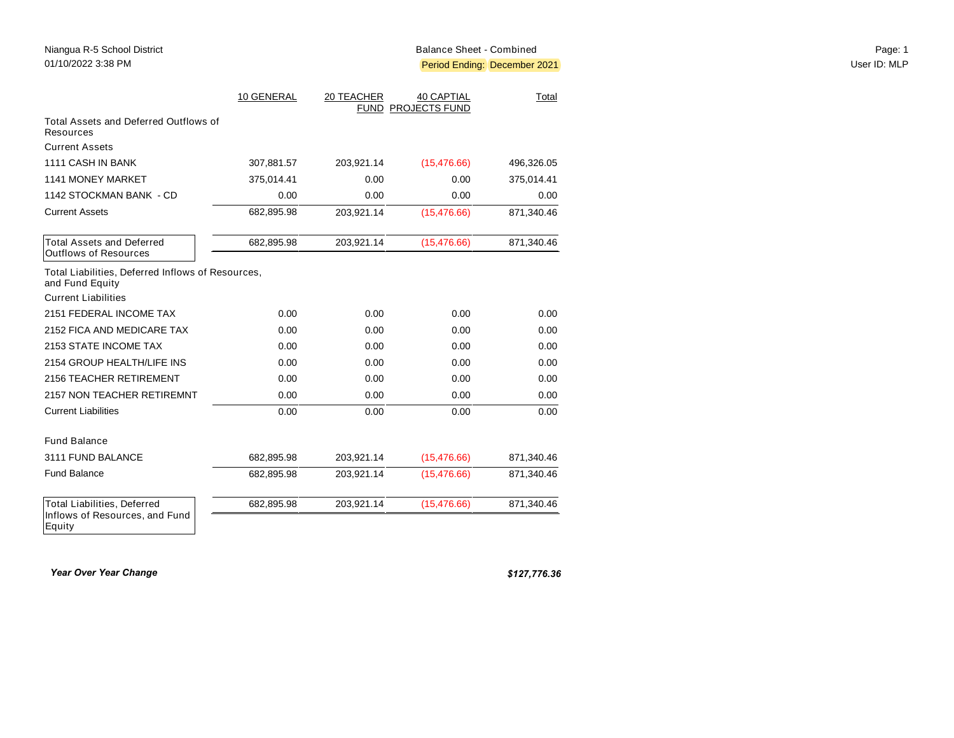|                                                                      | 10 GENERAL | 20 TEACHER | 40 CAPTIAL<br>FUND PROJECTS FUND | Total      |
|----------------------------------------------------------------------|------------|------------|----------------------------------|------------|
| Total Assets and Deferred Outflows of<br>Resources                   |            |            |                                  |            |
| <b>Current Assets</b>                                                |            |            |                                  |            |
| 1111 CASH IN BANK                                                    | 307,881.57 | 203,921.14 | (15, 476.66)                     | 496,326.05 |
| <b>1141 MONEY MARKET</b>                                             | 375,014.41 | 0.00       | 0.00                             | 375,014.41 |
| 1142 STOCKMAN BANK - CD                                              | 0.00       | 0.00       | 0.00                             | 0.00       |
| <b>Current Assets</b>                                                | 682,895.98 | 203,921.14 | (15, 476.66)                     | 871,340.46 |
| <b>Total Assets and Deferred</b><br><b>Outflows of Resources</b>     | 682,895.98 | 203,921.14 | (15, 476.66)                     | 871,340.46 |
| Total Liabilities, Deferred Inflows of Resources,<br>and Fund Equity |            |            |                                  |            |
| <b>Current Liabilities</b>                                           |            |            |                                  |            |
| 2151 FEDERAL INCOME TAX                                              | 0.00       | 0.00       | 0.00                             | 0.00       |
| 2152 FICA AND MEDICARE TAX                                           | 0.00       | 0.00       | 0.00                             | 0.00       |
| 2153 STATE INCOME TAX                                                | 0.00       | 0.00       | 0.00                             | 0.00       |
| 2154 GROUP HEALTH/LIFE INS                                           | 0.00       | 0.00       | 0.00                             | 0.00       |
| 2156 TEACHER RETIREMENT                                              | 0.00       | 0.00       | 0.00                             | 0.00       |
| 2157 NON TEACHER RETIREMNT                                           | 0.00       | 0.00       | 0.00                             | 0.00       |
| <b>Current Liabilities</b>                                           | 0.00       | 0.00       | 0.00                             | 0.00       |
| <b>Fund Balance</b>                                                  |            |            |                                  |            |
| 3111 FUND BALANCE                                                    | 682,895.98 | 203,921.14 | (15, 476.66)                     | 871,340.46 |
| <b>Fund Balance</b>                                                  | 682,895.98 | 203,921.14 | (15, 476.66)                     | 871,340.46 |
| <b>Total Liabilities, Deferred</b><br>Inflows of Resources, and Fund | 682,895.98 | 203,921.14 | (15, 476.66)                     | 871,340.46 |
| Equity                                                               |            |            |                                  |            |

*Year Over Year Change \$127,776.36*